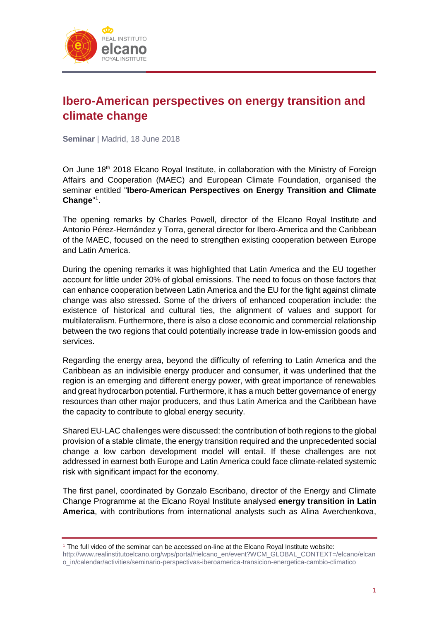

## **Ibero-American perspectives on energy transition and climate change**

**Seminar** | Madrid, 18 June 2018

On June 18<sup>th</sup> 2018 Elcano Royal Institute, in collaboration with the Ministry of Foreign Affairs and Cooperation (MAEC) and European Climate Foundation, organised the seminar entitled "**Ibero-American Perspectives on Energy Transition and Climate**  Change"<sup>1</sup>.

The opening remarks by Charles Powell, director of the Elcano Royal Institute and Antonio Pérez-Hernández y Torra, general director for Ibero-America and the Caribbean of the MAEC, focused on the need to strengthen existing cooperation between Europe and Latin America.

During the opening remarks it was highlighted that Latin America and the EU together account for little under 20% of global emissions. The need to focus on those factors that can enhance cooperation between Latin America and the EU for the fight against climate change was also stressed. Some of the drivers of enhanced cooperation include: the existence of historical and cultural ties, the alignment of values and support for multilateralism. Furthermore, there is also a close economic and commercial relationship between the two regions that could potentially increase trade in low-emission goods and services.

Regarding the energy area, beyond the difficulty of referring to Latin America and the Caribbean as an indivisible energy producer and consumer, it was underlined that the region is an emerging and different energy power, with great importance of renewables and great hydrocarbon potential. Furthermore, it has a much better governance of energy resources than other major producers, and thus Latin America and the Caribbean have the capacity to contribute to global energy security.

Shared EU-LAC challenges were discussed: the contribution of both regions to the global provision of a stable climate, the energy transition required and the unprecedented social change a low carbon development model will entail. If these challenges are not addressed in earnest both Europe and Latin America could face climate-related systemic risk with significant impact for the economy.

The first panel, coordinated by Gonzalo Escribano, director of the Energy and Climate Change Programme at the Elcano Royal Institute analysed **energy transition in Latin America**, with contributions from international analysts such as Alina Averchenkova,

 $<sup>1</sup>$  The full video of the seminar can be accessed on-line at the Elcano Royal Institute website:</sup>

[http://www.realinstitutoelcano.org/wps/portal/rielcano\\_en/event?WCM\\_GLOBAL\\_CONTEXT=/elcano/elcan](http://www.realinstitutoelcano.org/wps/portal/rielcano_en/event?WCM_GLOBAL_CONTEXT=/elcano/elcano_in/calendar/activities/seminario-perspectivas-iberoamerica-transicion-energetica-cambio-climatico) [o\\_in/calendar/activities/seminario-perspectivas-iberoamerica-transicion-energetica-cambio-climatico](http://www.realinstitutoelcano.org/wps/portal/rielcano_en/event?WCM_GLOBAL_CONTEXT=/elcano/elcano_in/calendar/activities/seminario-perspectivas-iberoamerica-transicion-energetica-cambio-climatico)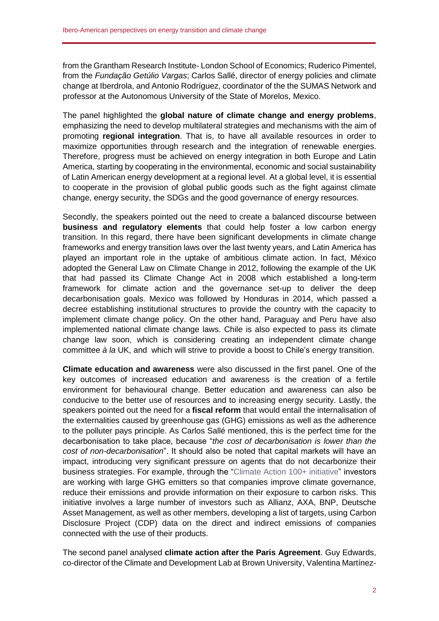from the Grantham Research Institute- London School of Economics; Ruderico Pimentel, from the *Fundação Getúlio Vargas*; Carlos Sallé, director of energy policies and climate change at Iberdrola, and Antonio Rodríguez, coordinator of the the SUMAS Network and professor at the Autonomous University of the State of Morelos, Mexico.

The panel highlighted the **global nature of climate change and energy problems**, emphasizing the need to develop multilateral strategies and mechanisms with the aim of promoting **regional integration**. That is, to have all available resources in order to maximize opportunities through research and the integration of renewable energies. Therefore, progress must be achieved on energy integration in both Europe and Latin America, starting by cooperating in the environmental, economic and social sustainability of Latin American energy development at a regional level. At a global level, it is essential to cooperate in the provision of global public goods such as the fight against climate change, energy security, the SDGs and the good governance of energy resources.

Secondly, the speakers pointed out the need to create a balanced discourse between **business and regulatory elements** that could help foster a low carbon energy transition. In this regard, there have been significant developments in climate change frameworks and energy transition laws over the last twenty years, and Latin America has played an important role in the uptake of ambitious climate action. In fact, México adopted the General Law on Climate Change in 2012, following the example of the UK that had passed its Climate Change Act in 2008 which established a long-term framework for climate action and the governance set-up to deliver the deep decarbonisation goals. Mexico was followed by Honduras in 2014, which passed a decree establishing institutional structures to provide the country with the capacity to implement climate change policy. On the other hand, Paraguay and Peru have also implemented national climate change laws. Chile is also expected to pass its climate change law soon, which is considering creating an independent climate change committee *à la* UK, and which will strive to provide a boost to Chile's energy transition.

**Climate education and awareness** were also discussed in the first panel. One of the key outcomes of increased education and awareness is the creation of a fertile environment for behavioural change. Better education and awareness can also be conducive to the better use of resources and to increasing energy security. Lastly, the speakers pointed out the need for a **fiscal reform** that would entail the internalisation of the externalities caused by greenhouse gas (GHG) emissions as well as the adherence to the polluter pays principle. As Carlos Sallé mentioned, this is the perfect time for the decarbonisation to take place, because "*the cost of decarbonisation is lower than the cost of non-decarbonisation*". It should also be noted that capital markets will have an impact, introducing very significant pressure on agents that do not decarbonize their business strategies. For example, through the ["Climate Action 100+ initiative"](http://www.climateaction100.org/) investors are working with large GHG emitters so that companies improve climate governance, reduce their emissions and provide information on their exposure to carbon risks. This initiative involves a large number of investors such as Allianz, AXA, BNP, Deutsche Asset Management, as well as other members, developing a list of targets, using Carbon Disclosure Project (CDP) data on the direct and indirect emissions of companies connected with the use of their products.

The second panel analysed **climate action after the Paris Agreement**. Guy Edwards, co-director of the Climate and Development Lab at Brown University, Valentina Martínez